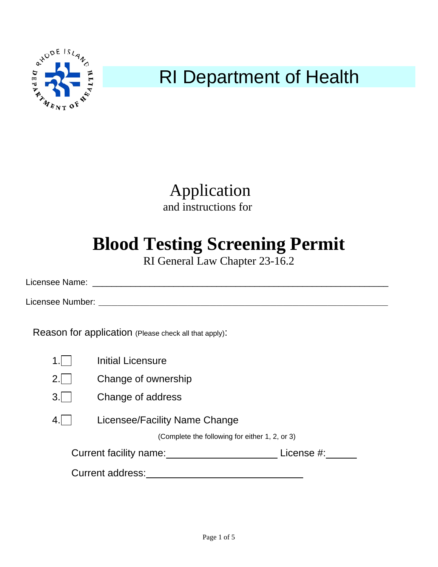

Application and instructions for

## **Blood Testing Screening Permit**

RI General Law Chapter 23-16.2

Licensee Name: \_\_\_\_\_\_\_\_\_\_\_\_\_\_\_\_\_\_\_\_\_\_\_\_\_\_\_\_\_\_\_\_\_\_\_\_\_\_\_\_\_\_\_\_\_\_\_\_\_\_\_\_\_\_\_\_\_\_\_\_\_\_

Licensee Number: \_\_\_\_\_\_\_\_\_\_\_\_\_\_\_\_\_\_\_\_\_\_\_\_\_\_\_\_\_\_\_\_\_\_\_\_\_\_\_\_\_\_\_\_\_\_\_\_\_\_\_\_\_\_\_\_\_\_\_\_\_\_\_\_\_\_\_\_\_\_\_\_\_\_\_\_\_\_\_\_\_\_\_\_\_\_\_\_\_\_\_

Reason for application (Please check all that apply):

|                                      | Initial Licensure                              |  |
|--------------------------------------|------------------------------------------------|--|
|                                      | Change of ownership                            |  |
|                                      | Change of address                              |  |
|                                      | Licensee/Facility Name Change                  |  |
|                                      | (Complete the following for either 1, 2, or 3) |  |
| License #:<br>Current facility name: |                                                |  |
| Current address:                     |                                                |  |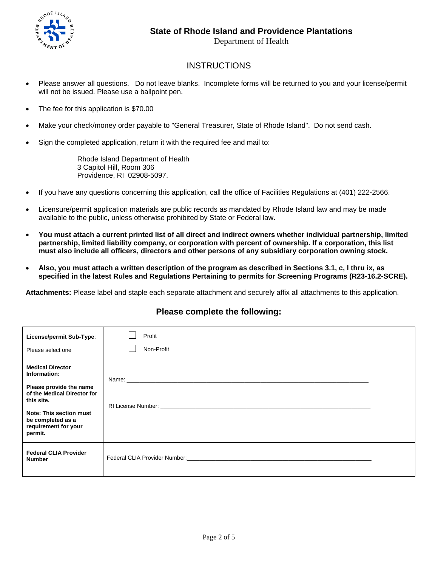

## **INSTRUCTIONS**

- Please answer all questions. Do not leave blanks. Incomplete forms will be returned to you and your license/permit will not be issued. Please use a ballpoint pen.
- The fee for this application is \$70.00
- Make your check/money order payable to "General Treasurer, State of Rhode Island". Do not send cash.
- Sign the completed application, return it with the required fee and mail to:

 Rhode Island Department of Health 3 Capitol Hill, Room 306 Providence, RI 02908-5097.

- If you have any questions concerning this application, call the office of Facilities Regulations at (401) 222-2566.
- Licensure/permit application materials are public records as mandated by Rhode Island law and may be made available to the public, unless otherwise prohibited by State or Federal law.
- **You must attach a current printed list of all direct and indirect owners whether individual partnership, limited partnership, limited liability company, or corporation with percent of ownership. If a corporation, this list must also include all officers, directors and other persons of any subsidiary corporation owning stock.**
- **Also, you must attach a written description of the program as described in Sections 3.1, c, l thru ix, as specified in the latest Rules and Regulations Pertaining to permits for Screening Programs (R23-16.2-SCRE).**

**Attachments:** Please label and staple each separate attachment and securely affix all attachments to this application.

## **Please complete the following:**

| License/permit Sub-Type:<br>Please select one                                                                                                                                                      | Profit<br>Non-Profit                                                                                                                                                                                                           |
|----------------------------------------------------------------------------------------------------------------------------------------------------------------------------------------------------|--------------------------------------------------------------------------------------------------------------------------------------------------------------------------------------------------------------------------------|
| <b>Medical Director</b><br>Information:<br>Please provide the name<br>of the Medical Director for<br>this site.<br>Note: This section must<br>be completed as a<br>requirement for your<br>permit. | RI License Number: North and the state of the state of the state of the state of the state of the state of the                                                                                                                 |
| <b>Federal CLIA Provider</b><br><b>Number</b>                                                                                                                                                      | Federal CLIA Provider Number: North Care and Security and Security and Security and Security and Security and Security and Security and Security and Security and Security and Security and Security and Security and Security |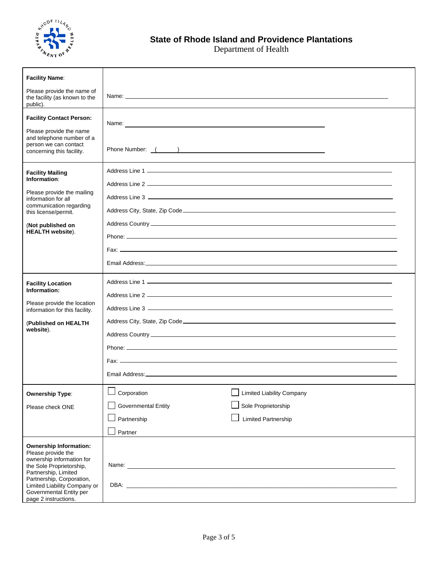

| <b>Facility Name:</b>                                                                                                                                                                                                                                |                                                                                                 |                                                                                       |
|------------------------------------------------------------------------------------------------------------------------------------------------------------------------------------------------------------------------------------------------------|-------------------------------------------------------------------------------------------------|---------------------------------------------------------------------------------------|
| Please provide the name of<br>the facility (as known to the<br>public).                                                                                                                                                                              |                                                                                                 |                                                                                       |
| <b>Facility Contact Person:</b><br>Please provide the name<br>and telephone number of a<br>person we can contact<br>concerning this facility.                                                                                                        | Name:<br>Phone Number: ( )                                                                      |                                                                                       |
| <b>Facility Mailing</b><br>Information:<br>Please provide the mailing<br>information for all<br>communication regarding<br>this license/permit.<br>(Not published on<br><b>HEALTH</b> website).                                                      |                                                                                                 |                                                                                       |
|                                                                                                                                                                                                                                                      |                                                                                                 |                                                                                       |
| <b>Facility Location</b><br>Information:<br>Please provide the location<br>information for this facility.<br>(Published on HEALTH)<br>website).                                                                                                      |                                                                                                 |                                                                                       |
| <b>Ownership Type:</b><br>Please check ONE                                                                                                                                                                                                           | $\overline{\phantom{0}}$<br>Corporation<br><b>Governmental Entity</b><br>Partnership<br>Partner | <b>Limited Liability Company</b><br>Sole Proprietorship<br><b>Limited Partnership</b> |
| <b>Ownership Information:</b><br>Please provide the<br>ownership information for<br>the Sole Proprietorship,<br>Partnership, Limited<br>Partnership, Corporation,<br>Limited Liability Company or<br>Governmental Entity per<br>page 2 instructions. |                                                                                                 |                                                                                       |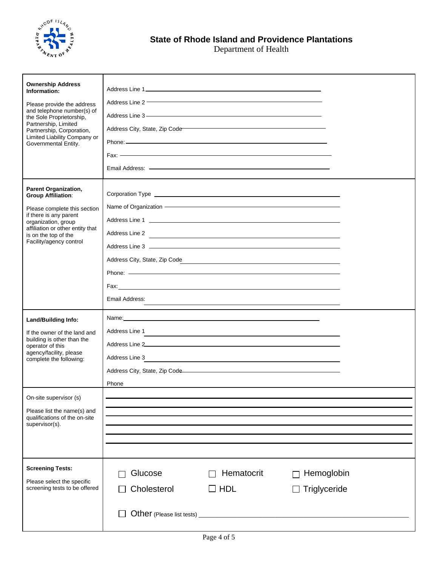

| <b>Ownership Address</b><br>Information:<br>Please provide the address<br>and telephone number(s) of<br>the Sole Proprietorship,<br>Partnership, Limited<br>Partnership, Corporation,<br>Limited Liability Company or<br>Governmental Entity. | Address Line 2 <b>Contract Contract Contract Contract Contract Contract Contract Contract Contract Contract Contract Contract Contract Contract Contract Contract Contract Contract Contract Contract Contract Contract Contract</b><br>Address City, State, Zip Code<br>Fax: $\overline{\phantom{a}}$                                                                                                                                                      |
|-----------------------------------------------------------------------------------------------------------------------------------------------------------------------------------------------------------------------------------------------|-------------------------------------------------------------------------------------------------------------------------------------------------------------------------------------------------------------------------------------------------------------------------------------------------------------------------------------------------------------------------------------------------------------------------------------------------------------|
| Parent Organization,<br><b>Group Affiliation:</b><br>Please complete this section<br>if there is any parent<br>organization, group<br>affiliation or other entity that<br>is on the top of the<br>Facility/agency control                     | Name of Organization <b>Construction Manual Construction Construction Construction</b><br>Address Line 2<br>Address City, State, Zip Code<br><u> 1989 - Andrea Branden, amerikansk politik (d. 1989)</u><br>Email Address:                                                                                                                                                                                                                                  |
| <b>Land/Building Info:</b><br>If the owner of the land and<br>building is other than the<br>operator of this<br>agency/facility, please<br>complete the following:                                                                            | Address Line 1<br>and the control of the control of the control of the control of the control of the control of the control of the<br>Address Line 2 and 2 and 2 and 2 and 2 and 2 and 2 and 2 and 2 and 2 and 2 and 2 and 2 and 2 and 2 and 2 and 2<br>Address Line 3<br><u> 1989 - Andrea Andrew Maria (h. 1989).</u><br>Address City, State, Zip Code <b>Constant Construct Constant Constant Construct Constant Constant Constant Constant</b><br>Phone |
| On-site supervisor (s)<br>Please list the name(s) and<br>qualifications of the on-site<br>supervisor(s).                                                                                                                                      |                                                                                                                                                                                                                                                                                                                                                                                                                                                             |
| <b>Screening Tests:</b><br>Please select the specific<br>screening tests to be offered                                                                                                                                                        | Glucose<br>Hematocrit<br>Hemoglobin<br>Cholesterol<br>$\Box$ HDL<br>Triglyceride                                                                                                                                                                                                                                                                                                                                                                            |